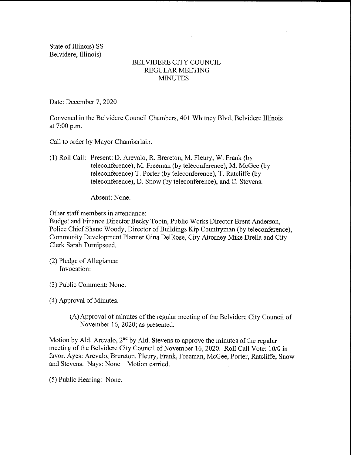State of Illinois) SS Belvidere, Illinois)

## BELVIDERE CITY COUNCIL REGULAR MEETING **MINUTES**

Date: December 7, 2020

Convened in the Belvidere Council Chambers, 401 Whitney Blvd, Belvidere Illinois at 7:00 p.m.

Call to order by Mayor Chamberlain.

1) Roll Call: Present: D. Arevalo, R. Brereton, M. Fleury, W. Frank (by teleconference), M. Freeman (by teleconference), M. McGee (by teleconference) T. Porter (by teleconference), T. Ratcliffe (by teleconference), D. Snow (by teleconference), and C. Stevens.

Absent: None.

Other staff members in attendance:

Budget and Finance Director Becky Tobin, Public Works Director Brent Anderson, Police Chief Shane Woody, Director of Buildings Kip Countryman ( by teleconference), Community Development Planner Gina DelRose, City Attorney Mike Drella and City Clerk Sarah Turnipseed.

- 2) Pledge of Allegiance: Invocation:
- 3) Public Comment: None.

4) Approval of Minutes:

A) Approval of minutes of the regular meeting of the Belvidere City Council of November 16, 2020; as presented.

Motion by Ald. Arevalo,  $2<sup>nd</sup>$  by Ald. Stevens to approve the minutes of the regular meeting of the Belvidere City Council of November 16, 2020. Roll Call Vote: 10/0 in favor. Ayes: Arevalo, Brereton, Fleury, Frank, Freeman, McGee, Porter, Ratcliffe, Snow and Stevens. Nays: None. Motion carried.

5) Public Hearing: None.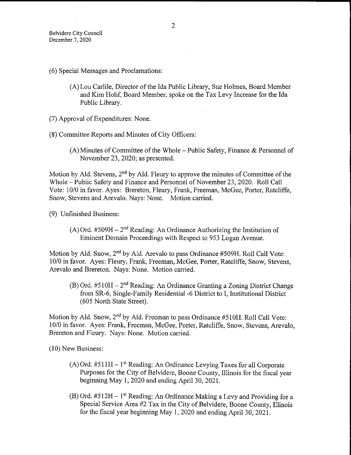- 6) Special Messages and Proclamations:
	- A) Lou Carlile, Director of the Ida Public Library, Sue Holmes, Board Member and Kim Hohf, Board Member, spoke on the Tax Levy Increase for the Ida Public Library.
- 7) Approval of Expenditures: None.
- 8) Committee Reports and Minutes of City Officers:
	- A) Minutes of Committee of the Whole— Public Safety, Finance & Personnel of November 23, 2020; as presented.

Motion by Ald. Stevens,  $2<sup>nd</sup>$  by Ald. Fleury to approve the minutes of Committee of the Whole— Public Safety and Finance and Personnel of November 23, 2020. Roll Call Vote: 10/0 in favor. Ayes: Brereton, Fleury, Frank, Freeman, McGee, Porter, Ratcliffe, Snow, Stevens and Arevalo. Nays: None. Motion carried.

9) Unfinished Business:

 $(A)$  Ord. #509H –  $2<sup>nd</sup>$  Reading: An Ordinance Authorizing the Institution of Eminent Domain Proceedings with Respect to 953 Logan Avenue.

Motion by Ald. Snow,  $2<sup>nd</sup>$  by Ald. Arevalo to pass Ordinance #509H. Roll Call Vote: 10/0 in favor. Ayes: Fleury, Frank, Freeman, McGee, Porter, Ratcliffe, Snow, Stevens, Arevalo and Brereton. Nays: None. Motion carried.

 $(B)$  Ord. #510H – 2<sup>nd</sup> Reading: An Ordinance Granting a Zoning District Change from SR-6, Single-Family Residential -6 District to I, Institutional District 605 North State Street).

Motion by Ald. Snow,  $2<sup>nd</sup>$  by Ald. Freeman to pass Ordinance #510H. Roll Call Vote: 10/0 in favor. Ayes: Frank, Freeman, McGee, Porter, Ratcliffe, Snow, Stevens, Arevalo, Brereton and Fleury. Nays: None. Motion carried.

10) New Business:

- $(A)$  Ord. #511 H 1<sup>st</sup> Reading: An Ordinance Levying Taxes for all Corporate Purposes for the City of Belvidere, Boone County, Illinois for the fiscal year beginning May 1, 2020 and ending April 30, 2021.
- $(B)$  Ord. #512H 1<sup>st</sup> Reading: An Ordinance Making a Levy and Providing for a Special Service Area #2 Tax in the City of Belvidere, Boone County, Illinois for the fiscal year beginning May 1, 2020 and ending April 30, 2021.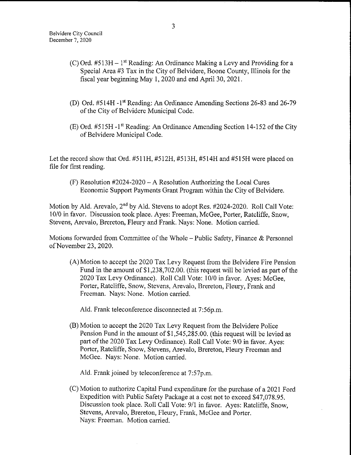- (C) Ord.  $#513H 1$ <sup>st</sup> Reading: An Ordinance Making a Levy and Providing for a Special Area #3 Tax in the City of Belvidere, Boone County, Illinois for the fiscal year beginning May 1, 2020 and end April 30, 2021.
- (D) Ord. #514H -1<sup>st</sup> Reading: An Ordinance Amending Sections 26-83 and 26-79 of the City of Belvidere Municipal Code.
- E) Ord. #515H l" Reading: An Ordinance Amending Section 14- 152 of the City of Belvidere Municipal Code.

Let the record show that Ord.  $#511H$ ,  $#512H$ ,  $#513H$ ,  $#514H$  and  $#515H$  were placed on file for first reading.

 $(F)$  Resolution #2024-2020 – A Resolution Authorizing the Local Cures Economic Support Payments Grant Program within the City of Belvidere.

Motion by Ald. Arevalo,  $2<sup>nd</sup>$  by Ald. Stevens to adopt Res.  $\#2024$ -2020. Roll Call Vote: 10/0 in favor. Discussion took place. Ayes: Freeman, McGee, Porter, Ratcliffe, Snow, Stevens, Arevalo, Brereton, Fleury and Frank. Nays: None. Motion carried.

Motions forwarded from Committee of the Whole— Public Safety, Finance & Personnel of November 23, 2020.

A) Motion to accept the 2020 Tax Levy Request from the Belvidere Fire Pension Fund in the amount of \$1,238,702.00. (this request will be levied as part of the 2020 Tax Levy Ordinance). Roll Call Vote: 10/0 in favor. Ayes: McGee, Porter, Ratcliffe, Snow, Stevens, Arevalo, Brereton, Fleury, Frank and Freeman. Nays: None. Motion carried.

Ald. Frank teleconference disconnected at 7:56p.m.

B) Motion to accept the 2020 Tax Levy Request from the Belvidere Police Pension Fund in the amount of \$1,545,285.00. (this request will be levied as part of the 2020 Tax Levy Ordinance). Roll Call Vote: 9/0 in favor. Ayes: Porter, Ratcliffe, Snow, Stevens, Arevalo, Brereton, Fleury Freeman and McGee. Nays: None. Motion carried.

Ald. Frank joined by teleconference at 7:57p.m.

C) Motion to authorize Capital Fund expenditure for the purchase of a 2021 Ford Expedition with Public Safety Package at a cost not to exceed \$47,078.95. Discussion took place. Roll Call Vote: 9/1 in favor. Ayes: Ratcliffe, Snow, Stevens, Arevalo, Brereton, Fleury, Frank, McGee and Porter. Nays: Freeman. Motion carried.